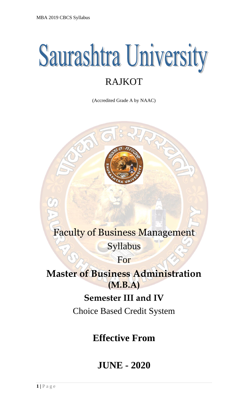# **Saurashtra University** RAJKOT

(Accredited Grade A by NAAC)



## Faculty of Business Management

Syllabus

For

**Master of Business Administration (M.B.A)**

### **Semester III and IV**

Choice Based Credit System

# **Effective From**

### **JUNE - 2020**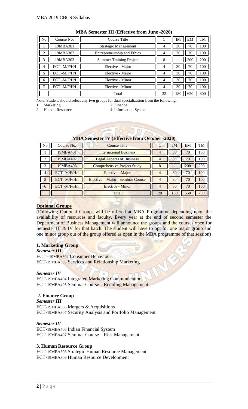| N <sub>o</sub> | Course No.  | Course Title                   | C              | <b>IM</b> | EM  | TM  |
|----------------|-------------|--------------------------------|----------------|-----------|-----|-----|
|                | 19MBA301    | Strategic Management           | 4              | 30        | 70  | 100 |
|                | 19MBA302    | Entrepreneurship and Ethics    | 4              | 30        | 70  | 100 |
| 3              | 19MBA303    | <b>Summer Training Project</b> | 8              |           | 200 | 200 |
|                | ECT-M/F/H/I | Elective - Major               | 4              | 30        | 70  | 100 |
|                | ECT-M/F/H/I | Elective - Major               | 4              | 30        | 70  | 100 |
| 6              | ECT-M/F/H/I | Elective - Minor               | $\overline{4}$ | 30        | 70  | 100 |
|                | ECT-M/F/H/I | Elective - Minor               | $\overline{4}$ | 30        | 70  | 100 |
|                |             | Total                          | 32             | 180       | 620 | 800 |

#### **MBA Semester III (Effective from June -2020)**

Note: Student should select any **two** groups for dual specialization from the following.<br>1. Marketing 2. Finance

1. Marketing

2. Human Resource 4. Information System

| EM<br>No<br>Course No.<br>Course Title | <b>MBA Semester IV (Effective from October -2020)</b> |  |  |  |  |    |  |  |
|----------------------------------------|-------------------------------------------------------|--|--|--|--|----|--|--|
|                                        |                                                       |  |  |  |  | TM |  |  |

| <b>INU</b> | COUISE IND.        | Course The                         |    | <b>TIAT</b> | LIVI | I IVI |
|------------|--------------------|------------------------------------|----|-------------|------|-------|
|            | 19MBA401           | <b>International Business</b>      | 4  | 30          | 70   | 100   |
| 2          | 19MBA402           | <b>Legal Aspects of Business</b>   | 4  | 30          | 70   | 100   |
| 3          | 19MBA403           | <b>Comprehensive Project Study</b> |    |             | 200  | 200   |
| 4          | <b>ECT-M/F/H/I</b> | Elective - Major                   | 4  | 30          | 70   | 100   |
|            | ECT-M/F/H/I        | Elective – Major - Seminar Course  |    | 30          | 70   | 100   |
| 6          | ECT-M/F/H/I        | <b>Elective - Minor</b>            | 4  | 30          | 70   | 100   |
|            |                    | Total                              | 28 | 150         | 550  | 700   |

#### **Optional Groups**

(Following Optional Groups will be offered at MBA Programme depending upon the availability of resources and faculty. Every year at the end of second semester the Department of Business Management will announce the groups and the courses open for Semester III  $\&$  IV for that batch. The student will have to opt for one major group and one minor group out of the group offered as open in the MBA programme of that session)

#### **1. Marketing Group**

G *Semester III*  ECT –19MBA304 Consumer Behaviour ECT-19MBA305 Services and Relationship Marketing

#### *Semester IV*

ECT-19MBA404 Integrated Marketing Communication ECT-19MBA405 Seminar Course – Retailing Management

#### 2**. Finance Group**

*Semester III*  ECT-19MBA306 Mergers & Acquisitions ECT-19MBA307 Security Analysis and Portfolio Management

#### *Semester IV*

ECT-19MBA406 Indian Financial System ECT-19MBA407 Seminar Course – Risk Management

#### **3. Human Resource Group**

ECT-19MBA308 Strategic Human Resource Management ECT-19MBA309 Human Resource Development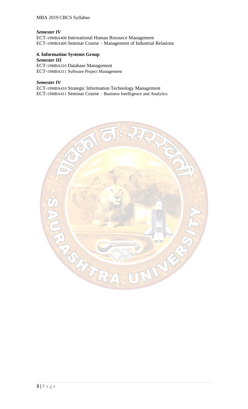#### MBA 2019 CBCS Syllabus

#### *Semester IV*

ECT-19MBA408 International Human Resource Management ECT-19MBA409 Seminar Course – Management of Industrial Relations

#### **4. Information Systems Group**

*Semester III*  ECT-19MBA310 Database Management ECT-19MBA311 Software Project Management

#### *Semester IV*

ECT-19MBA410 Strategic Information Technology Management ECT-19MBA411 Seminar Course – Business Intelligence and Analytics

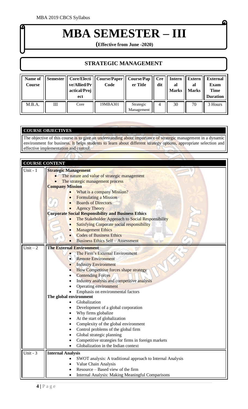# **MBA SEMESTER – III**

**(Effective from June -2020)**

#### **STRATEGIC MANAGEMENT**

| Name of<br>Course |   | ve/Allied/Pr<br>actical/Proj<br>ect | Semester    Core/Electi    Course/Paper   <br>Code | Course/Pap<br>er Title  | dit | $Cre \mid$ Intern<br>al<br><b>Marks</b> | Extern<br>al<br><b>Marks</b> | <b>External</b><br><b>Exam</b><br><b>Time</b><br><b>Duration</b> |
|-------------------|---|-------------------------------------|----------------------------------------------------|-------------------------|-----|-----------------------------------------|------------------------------|------------------------------------------------------------------|
| M.B.A.            | Ш | Core                                | 19MBA301                                           | Strategic<br>Management | 4   | 30                                      | 70                           | 3 Hours                                                          |

#### **COURSE OBJECTIVES**

 $\sqrt{n}$ 

The objective of this course is to give an understanding about importance of strategic management in a dynamic environment for business. It helps students to learn about different strategy options, appropriate selection and effective implementation and control.

|            | <b>COURSE CONTENT</b>                                                              |  |  |  |  |
|------------|------------------------------------------------------------------------------------|--|--|--|--|
|            |                                                                                    |  |  |  |  |
| Unit - $1$ | <b>Strategic Management</b>                                                        |  |  |  |  |
|            | The nature and value of strategic management                                       |  |  |  |  |
|            | The strategic management process<br><b>Company Mission</b>                         |  |  |  |  |
|            |                                                                                    |  |  |  |  |
|            | What is a company Mission?                                                         |  |  |  |  |
|            | <b>Formulating a Mission</b>                                                       |  |  |  |  |
|            | <b>Boards of Directors</b>                                                         |  |  |  |  |
|            | <b>Agency Theory</b><br><b>Corporate Social Responsibility and Business Ethics</b> |  |  |  |  |
|            |                                                                                    |  |  |  |  |
|            | The Stakeholder Approach to Social Responsibility                                  |  |  |  |  |
|            | <b>Satisfying Corporate social responsibility</b>                                  |  |  |  |  |
|            | <b>Management Ethics</b>                                                           |  |  |  |  |
|            | <b>Codes of Business Ethics</b>                                                    |  |  |  |  |
|            | <b>Business Ethics Self - Assessment</b>                                           |  |  |  |  |
| $Unit - 2$ | <b>The External Environment</b>                                                    |  |  |  |  |
|            | The Firm's External Environment                                                    |  |  |  |  |
|            | <b>Remote Environment</b>                                                          |  |  |  |  |
|            | <b>Industry Environment</b>                                                        |  |  |  |  |
|            | <b>How Competitive forces shape strategy</b>                                       |  |  |  |  |
|            | <b>Contending Forces</b>                                                           |  |  |  |  |
|            | Industry analysis and competitive analysis                                         |  |  |  |  |
|            | <b>Operating environment</b>                                                       |  |  |  |  |
|            | Emphasis on environmental factors                                                  |  |  |  |  |
|            | The global environment                                                             |  |  |  |  |
|            | Globalization                                                                      |  |  |  |  |
|            | Development of a global corporation                                                |  |  |  |  |
|            | Why firms globalize                                                                |  |  |  |  |
|            | At the start of globalization                                                      |  |  |  |  |
|            | Complexity of the global environment                                               |  |  |  |  |
|            | Control problems of the global firm                                                |  |  |  |  |
|            | Global strategic planning                                                          |  |  |  |  |
|            | Competitive strategies for firms in foreign markets                                |  |  |  |  |
|            | Globalization in the Indian context                                                |  |  |  |  |
| Unit - $3$ | <b>Internal Analysis</b>                                                           |  |  |  |  |
|            | SWOT analysis: A traditional approach to Internal Analysis                         |  |  |  |  |
|            | Value Chain Analysis                                                               |  |  |  |  |
|            | Resource – Based view of the firm                                                  |  |  |  |  |
|            | Internal Analysis: Making Meaningful Comparisons                                   |  |  |  |  |
|            |                                                                                    |  |  |  |  |

G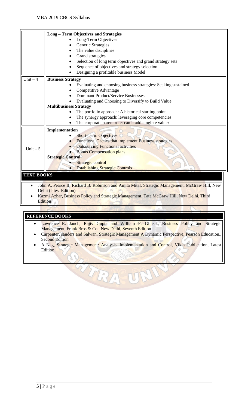|                   | <b>Long-Term Objectives and Strategies</b>                                                     |
|-------------------|------------------------------------------------------------------------------------------------|
|                   | Long-Term Objectives                                                                           |
|                   | Generic Strategies                                                                             |
|                   | The value disciplines                                                                          |
|                   | Grand strategies                                                                               |
|                   | Selection of long term objectives and grand strategy sets                                      |
|                   | Sequence of objectives and strategy selection                                                  |
|                   | Designing a profitable business Model                                                          |
| Unit $-4$         | <b>Business Strategy</b>                                                                       |
|                   | Evaluating and choosing business strategies: Seeking sustained                                 |
|                   | Competitive Advantage                                                                          |
|                   | Dominant Product/Service Businesses                                                            |
|                   | Evaluating and Choosing to Diversify to Build Value                                            |
|                   | <b>Multibusiness Strategy</b>                                                                  |
|                   | The portfolio approach: A historical starting point                                            |
|                   | The synergy approach: leveraging core competencies                                             |
|                   | The corporate parent role: can it add tangible value?                                          |
|                   | Implementation                                                                                 |
|                   | <b>Short-Term Objectives</b>                                                                   |
|                   | <b>Functional Tactics that implement Business strategies</b>                                   |
| Unit $-5$         | <b>Outsourcing Functional activities</b>                                                       |
|                   | <b>Bonus Compensation plans</b>                                                                |
|                   | <b>Strategic Control</b>                                                                       |
|                   | Strategic control                                                                              |
|                   | <b>Establishing Strategic Controls</b>                                                         |
| <b>TEXT BOOKS</b> |                                                                                                |
|                   |                                                                                                |
|                   | John A. Pearce II, Richard B. Robinson and Amita Mital, Strategic Management, McGraw Hill, New |
|                   | <b>Delhi</b> (latest Edition)                                                                  |
|                   | Kazmi Azhar, Rusiness Policy and Strategic Management, Tata McGraw Hill, New Delhi, Third      |

• Kazmi Azhar, Business Policy and Strategic Management, Tata McGraw Hill, New Delhi, Third Edition

#### **REFERENCE BOOKS**

- Lawrence R. Jauch, Rajiv Gupta and William F. Glueck, Business Policy and Strategic Management, Frank Bros & Co., New Delhi, Seventh Edition
- Carpenter, sanders and Salwan, Strategic Management A Dynamic Perspective, Pearson Education., Second Edition
- A Nag, Strategic Management: Analysis, Implementation and Control, Vikas Publication, Latest Edition

TRAST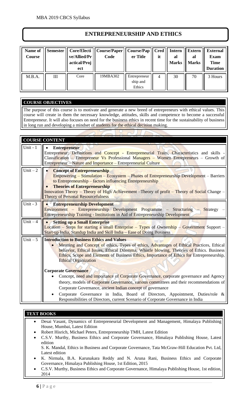#### **ENTREPRENEURSHIP AND ETHICS**

| Name of<br>Course | Semester           | ve/Allied/Pr<br>actical/Proj<br>ect | Core/Electi    Course/Paper    Course/Pap    Cred   <br>Code | er Title                           | it | <b>Intern</b><br>al<br><b>Marks</b> | <b>Extern</b><br>al<br><b>Marks</b> | <b>External</b><br><b>Exam</b><br><b>Time</b><br><b>Duration</b> |
|-------------------|--------------------|-------------------------------------|--------------------------------------------------------------|------------------------------------|----|-------------------------------------|-------------------------------------|------------------------------------------------------------------|
| M.B.A.            | $\mathop{\rm III}$ | Core                                | 19MBA302                                                     | Entrepreneur<br>ship and<br>Ethics | 4  | 30                                  | 70                                  | 3 Hours                                                          |

#### **COURSE OBJECTIVES**

The purpose of this course is to motivate and generate a new breed of entrepreneurs with ethical values. This course will create in them the necessary knowledge, attitudes, skills and competence to become a successful Entrepreneur. It will also focuses on need for the business ethics in recent time for the sustainability of business in long run and developing a mindset of students for the ethical decision making.

|            | <b>COURSE CONTENT</b>                                                                                                                                                                                                                                                                                                                                                             |
|------------|-----------------------------------------------------------------------------------------------------------------------------------------------------------------------------------------------------------------------------------------------------------------------------------------------------------------------------------------------------------------------------------|
| Unit $-1$  | <b>Entrepreneur</b><br>$\bullet$<br>Entrepreneur: Definitions and Concept - Entrepreneurial Traits, Characteristics and skills -<br>Classification – Entrepreneur Vs Professional Managers – Women Entrepreneurs – Growth of<br>Entrepreneur - Nature and Importance - Entrepreneurial Culture                                                                                    |
| Unit $-2$  | <b>Concept of Entrepreneurship</b><br>Empowering – Stimulation – Ecosystem – Phases of Entrepreneurship Development – Barriers<br>to Entrepreneurship – factors influencing Entrepreneurship<br><b>Theories of Entrepreneurship</b><br>Innovation Theory – Theory of High Achievement – Theory of profit – Theory of Social Change –<br><b>Theory of Personal Resourcefulness</b> |
| Unit - $3$ | <b>Entrepreneurship Development</b><br>Environment – Entrepreneurship Development Programme – Structuring – Strategy<br><b>Entrepreneurship Training - Institutions in Aid of Entrepreneurship Development</b>                                                                                                                                                                    |
| Unit $-4$  | <b>Setting up a Small Enterprise</b><br>Location – Steps for starting a small Enterprise – Types of Ownership – Government Support –<br>Start-up India, Standup India and Skill India - Ease of Doing Business                                                                                                                                                                    |
| Unit $-5$  | <b>Introduction to Business Ethics and Values</b><br>Meaning and Concept of ethics, Types of ethics, Advantages of Ethical Practices, Ethical<br>behavior, Ethical Issues, Ethical Dilemma, Whistle blowing, Theories of Ethics. Business<br>Ethics, Scope and Elements of Business Ethics, Importance of Ethics for Entrepreneurship,<br><b>Ethical Organization</b>             |
|            | <b>Corporate Governance</b><br>Concept, need and importance of Corporate Governance, corporate governance and Agency<br>theory, models of Corporate Governance, various committees and their recommendations of<br>Corporate Governance, ancient Indian concept of governance<br>Corporate Governance in India, Board of Directors, Appointment, Duties/role &                    |

#### **TEXT BOOKS**

- Desai Vasant, Dynamics of Entrepreneurial Development and Management, Himalaya Publishing House, Mumbai, Latest Edition
- Robert Hisrich, Michael Peters, Entrepreneurship TMH, Latest Edition
- C.S.V. Murthy, Business Ethics and Corporate Governance, Himalaya Publishing House, Latest edition

S. K. Mandal, Ethics in Business and Corporate Governance, Tata McGraw-Hill Education Pvt. Ltd, Latest edition

- K. Nirmala, B.A. Karunakara Reddy and N. Aruna Rani, Business Ethics and Corporate Governance, Himalaya Publishing House, 1st Edition, 2015
- C.S.V. Murthy, Business Ethics and Corporate Governance, Himalaya Publishing House, 1st edition, 2014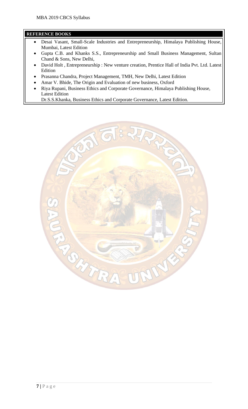#### **REFERENCE BOOKS**

- Desai Vasant, Small-Scale Industries and Entrepreneurship, Himalaya Publishing House, Mumbai, Latest Edition
- Gupta C.B. and Khanks S.S., Entrepreneurship and Small Business Management, Sultan Chand & Sons, New Delhi,
- David Holt , Entrepreneurship : New venture creation, Prentice Hall of India Pvt. Ltd. Latest Edition
- Prasanna Chandra, Project Management, TMH, New Delhi, Latest Edition
- Amar V. Bhide, The Origin and Evaluation of new business, Oxford
- Riya Rupani, Business Ethics and Corporate Governance, Himalaya Publishing House, Latest Edition

Dr.S.S.Khanka, Business Ethics and Corporate Governance, Latest Edition.

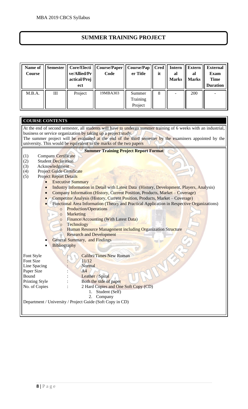#### **SUMMER TRAINING PROJECT**

| <b>Name of</b><br>Course | <b>Semester</b> | ve/Allied/Pr<br>actical/Proj<br>ect | Core/Electi    Course/Paper   <br>Code | Course/Pap<br>er Title        | Cred<br>it | Intern<br>al<br><b>Marks</b> | <b>Extern</b><br>al<br><b>Marks</b> | <b>External</b><br><b>Exam</b><br><b>Time</b><br><b>Duration</b> |
|--------------------------|-----------------|-------------------------------------|----------------------------------------|-------------------------------|------------|------------------------------|-------------------------------------|------------------------------------------------------------------|
| M.B.A.                   | Ш               | Project                             | 19MBA303                               | Summer<br>Training<br>Project | 8          |                              | 200                                 |                                                                  |

| <b>COURSE CONTENTS</b>                                                                                                                                                                                                                                                                                                                                              |
|---------------------------------------------------------------------------------------------------------------------------------------------------------------------------------------------------------------------------------------------------------------------------------------------------------------------------------------------------------------------|
| At the end of second semester, all students will have to undergo summer training of 6 weeks with an industrial,<br>business or service organization by taking up a project study.<br>The summer project will be evaluated at the end of the third semester by the examiners appointed by the<br>university. This would be equivalent to the marks of the two papers |
| <b>Summer Training Project Report Format</b>                                                                                                                                                                                                                                                                                                                        |
| <b>Company Certificate</b><br>(1)                                                                                                                                                                                                                                                                                                                                   |
| <b>Student Declaration</b><br>(2)                                                                                                                                                                                                                                                                                                                                   |
| Acknowledgment<br>(3)                                                                                                                                                                                                                                                                                                                                               |
| Project Guide Certificate<br>(4)                                                                                                                                                                                                                                                                                                                                    |
| <b>Project Report Details</b><br>(5)                                                                                                                                                                                                                                                                                                                                |
| <b>Executive Summary</b><br>$\bullet$                                                                                                                                                                                                                                                                                                                               |
| Industry Information in Detail with Latest Data (History, Development, Players, Analysis)<br>$\bullet$                                                                                                                                                                                                                                                              |
| Company Information (History, Current Position, Products, Market – Coverage)<br>$\bullet$                                                                                                                                                                                                                                                                           |
| Competitor Analysis (History, Current Position, Products, Market – Coverage)                                                                                                                                                                                                                                                                                        |
| Functional Area Information (Theory and Practical Application in Respective Organizations)                                                                                                                                                                                                                                                                          |
| <b>Production/Operations</b><br>$\circ$                                                                                                                                                                                                                                                                                                                             |
| <b>Marketing</b><br>$\circ$<br>Finance/Accounting (With Latest Data)                                                                                                                                                                                                                                                                                                |
| $\circ$<br>Technology<br>$\circ$                                                                                                                                                                                                                                                                                                                                    |
| <b>Human Resource Management including Organization Structure</b><br>$\circ$                                                                                                                                                                                                                                                                                        |
| <b>Research and Development</b><br>$\circ$                                                                                                                                                                                                                                                                                                                          |
| <b>General Summary, and Findings</b>                                                                                                                                                                                                                                                                                                                                |
| <b>Bibliography</b>                                                                                                                                                                                                                                                                                                                                                 |
|                                                                                                                                                                                                                                                                                                                                                                     |
| <b>Calibri/Times New Roman</b><br>Font Style                                                                                                                                                                                                                                                                                                                        |
| Font Size<br>11/12                                                                                                                                                                                                                                                                                                                                                  |
| Normal<br>Line Spacing                                                                                                                                                                                                                                                                                                                                              |
| Paper Size<br>A <sup>4</sup>                                                                                                                                                                                                                                                                                                                                        |
| Bound<br>Leather / Spiral                                                                                                                                                                                                                                                                                                                                           |
| Printing Style<br>Both the side of paper                                                                                                                                                                                                                                                                                                                            |
| 2 Hard Copies and One Soft Copy (CD)<br>No. of Copies                                                                                                                                                                                                                                                                                                               |
| Student (Self)<br>1.                                                                                                                                                                                                                                                                                                                                                |
| 2.<br>Company                                                                                                                                                                                                                                                                                                                                                       |
| Department / University / Project Guide (Soft Copy in CD)                                                                                                                                                                                                                                                                                                           |
|                                                                                                                                                                                                                                                                                                                                                                     |
|                                                                                                                                                                                                                                                                                                                                                                     |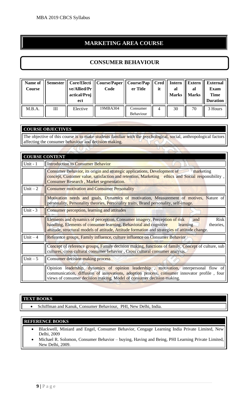#### **MARKETING AREA COURSE**

#### **CONSUMER BEHAVIOUR**

| Name of<br>Course |   | ve/Allied/Pr<br>actical/Proj<br>ect | Semester    Core/Electi    Course/Paper    Course/Pap    Cred    Intern<br>Code | er Title              | it | al<br><b>Marks</b> | <b>Extern</b><br>al<br><b>Marks</b> | <b>External</b><br><b>Exam</b><br><b>Time</b><br><b>Duration</b> |
|-------------------|---|-------------------------------------|---------------------------------------------------------------------------------|-----------------------|----|--------------------|-------------------------------------|------------------------------------------------------------------|
| M.B.A.            | Ш | Elective                            | 19MBA304                                                                        | Consumer<br>Behaviour | 4  | 30                 | 70                                  | 3 Hours                                                          |

#### **COURSE OBJECTIVES**

 $\epsilon$ 

The objective of this course is to make students familiar with the psychological, social, anthropological factors affecting the consumer behaviour and decision making.

| <b>COURSE CONTENT</b> |  |
|-----------------------|--|
|                       |  |
|                       |  |

| Unit - $1$ | <b>Introduction to Consumer Behavior</b>                                                                                                                                                                                                                                                        |
|------------|-------------------------------------------------------------------------------------------------------------------------------------------------------------------------------------------------------------------------------------------------------------------------------------------------|
|            | <b>Consumer Behavior, its origin and strategic applications, Development of</b><br>marketing<br>concept, Customer value, satisfaction and retention, Marketing ethics and Social responsibility,<br><b>Consumer Research, Market segmentation.</b>                                              |
| $Unit - 2$ | <b>Consumer motivation and Consumer Personality</b>                                                                                                                                                                                                                                             |
|            | Motivation needs and goals, Dynamics of motivation, Measurement of motives, Nature of<br>personality, Personality theories, Personality traits, Brand personality, self-image.                                                                                                                  |
| Unit - $3$ | Consumer perception, learning and attitudes                                                                                                                                                                                                                                                     |
|            | <b>Risk</b><br>Elements and dynamics of perception, Consumer imagery, Perception of risk<br>and<br>handling, Elements of consumer learning, Behavioral and cognitive<br>theories,<br>learning<br>attitude, structural models of attitude, Attitude formation and strategies of attitude change. |
| Unit $-4$  | Reference groups, Family influence, culture influence on Consumer Behavior                                                                                                                                                                                                                      |
|            | Concept of reference groups, Family decision making, functions of family, Concept of culture, sub<br>cultures, cross cultural consumer behavior, Cross cultural consumer analysis.                                                                                                              |
| Unit $-5$  | Consumer decision making process                                                                                                                                                                                                                                                                |
|            | Opinion leadership, dynamics of opinion leadership, motivation, interpersonal flow of<br>communication, diffusion of innovations, adoption process, consumer innovator profile, four<br>views of consumer decision making, Model of consumer decision making.                                   |

#### **TEXT BOOKS**

• Schiffman and Kanuk, Consumer Behaviour, PHI, New Delhi, India.

- Blackwell, Miniard and Engel, Consumer Behavior, Cengage Learning India Private Limited, New Delhi, 2009
- Michael R. Solomon, Consumer Behavior buying, Having and Being, PHI Learning Private Limited, New Delhi, 2009.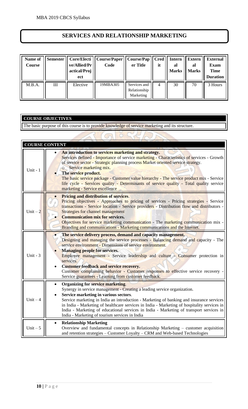#### **SERVICES AND RELATIONSHIP MARKETING**

| <b>Name of</b><br>Course | Semester | ve/Allied/Pr<br>actical/Proj<br>ect | Core/Electi    Course/Paper   <br>Code | Course/Pap   Cred<br>er Title             | it | <b>Intern</b><br>al<br><b>Marks</b> | <b>Extern</b><br>al<br><b>Marks</b> | <b>External</b><br><b>Exam</b><br><b>Time</b><br><b>Duration</b> |
|--------------------------|----------|-------------------------------------|----------------------------------------|-------------------------------------------|----|-------------------------------------|-------------------------------------|------------------------------------------------------------------|
| M.B.A.                   | III      | Elective                            | 19MBA305                               | Services and<br>Relationship<br>Marketing | 4  | 30                                  | 70                                  | 3 Hours                                                          |

#### **COURSE OBJECTIVES**

The basic purpose of this course is to provide knowledge of service marketing and its structure.

| <b>COURSE CONTENT</b> |                                                                                                                                                                                                                                                                                                                                                                                                                                                                                                                                                        |
|-----------------------|--------------------------------------------------------------------------------------------------------------------------------------------------------------------------------------------------------------------------------------------------------------------------------------------------------------------------------------------------------------------------------------------------------------------------------------------------------------------------------------------------------------------------------------------------------|
| Unit - 1              | An introduction to services marketing and strategy.<br>Services defined - Importance of service marketing - Characteristics of services - Growth<br>of service sector - Strategic planning process Market oriented service strategy.<br><b>Service marketing mix.</b><br>The service product.<br>The basic service package - Customer value hierarchy - The service product mix - Service<br>life cycle - Services quality - Determinants of service quality - Total quality service<br>marketing - Service excellence                                 |
| Unit $-2$             | <b>Pricing and distribution of services.</b><br>Pricing objectives - Approaches to pricing of services - Pricing strategies - Service<br>transactions - Service location - Service providers - Distribution flow and distributors -<br><b>Strategies for channel management</b><br><b>Communication mix for services.</b><br>Objectives for service marketing communication - The marketing communication mix -<br>Branding and communications - Marketing communications and the Internet.                                                            |
| Unit - $3$            | The service delivery process, demand and capacity management.<br>Designing and managing the service processes - Balancing demand and capacity - The<br>service environment - Dimensions of service environment.<br><b>Managing people for services.</b><br>Employee management - Service leadership and culture - Consumer protection in<br>services.<br><b>Customer feedback and service recovery.</b><br>Customer complaining behavior - Customer responses to effective service recovery -<br>Service guarantees - Learning from customer feedback. |
| $Unit - 4$            | <b>Organizing for service marketing.</b><br>$\bullet$<br>Synergy in service management - Creating a leading service organization.<br>Service marketing in various sectors.<br>Service marketing in India an introduction - Marketing of banking and insurance services<br>in India - Marketing of healthcare services in India - Marketing of hospitality services in<br>India - Marketing of educational services in India - Marketing of transport services in<br>India - Marketing of tourism services in India                                     |
| Unit $-5$             | <b>Relationship Marketing</b><br>$\bullet$<br>Overview and fundamental concepts in Relationship Marketing - customer acquisition<br>and retention strategies - Customer Loyalty - CRM and Web-based Technologies                                                                                                                                                                                                                                                                                                                                       |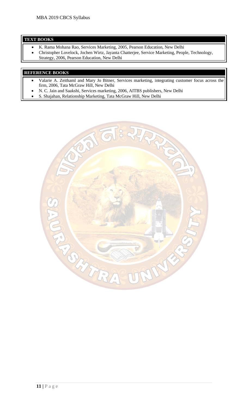#### **TEXT BOOKS**

- K. Rama Mohana Rao, Services Marketing, 2005, Pearson Education, New Delhi
- Christopher Lovelock, Jochen Wirtz, Jayanta Chatterjee, Service Marketing, People, Technology, Strategy, 2006, Pearson Education, New Delhi

- Valarie A. Zeithaml and Mary Jo Bitner, Services marketing, integrating customer focus across the firm, 2006, Tata McGraw Hill, New Delhi
- N. C. Jain and Saakshi, Services marketing, 2006, AITBS publishers, New Delhi
- S. Shajahan, Relationship Marketing, Tata McGraw Hill, New Delhi

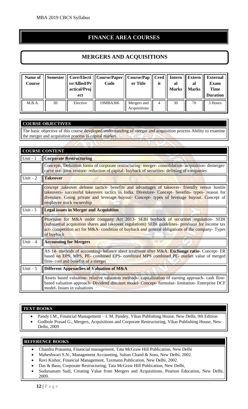#### **FINANCE AREA COURSES**

#### **MERGERS AND ACQUISITIONS**

| Name of<br>Course |   | ve/Allied/Pr<br>actical/Proj<br>ect | Semester    Core/Electi    Course/Paper    Course/Pap    Cred    Intern<br>Code | er Title                    | it | al<br><b>Marks</b> | Extern<br>al<br><b>Marks</b> | <b>External</b><br>Exam<br><b>Time</b><br><b>Duration</b> |
|-------------------|---|-------------------------------------|---------------------------------------------------------------------------------|-----------------------------|----|--------------------|------------------------------|-----------------------------------------------------------|
| M.B.A.            | Ш | Elective                            | 19MBA306                                                                        | Mergers and<br>Acquisitions | 4  | 30                 | 70                           | 3 Hours                                                   |

#### **COURSE OBJECTIVES**

The basic objective of this course developed understanding of merger and acquisition process Ability to examine the merger and acquisition process in capital market.

|            | <b>COURSE CONTENT</b>                                                                                                                                                                                                                                                                                                          |
|------------|--------------------------------------------------------------------------------------------------------------------------------------------------------------------------------------------------------------------------------------------------------------------------------------------------------------------------------|
| Unit - 1   | <b>Corporate Restructuring</b>                                                                                                                                                                                                                                                                                                 |
|            | Concepts, Definition forms of corporate restructuring-merger-consolidation-acquisition-demerger-<br>carve out-joint venture-reduction of capital-buyback of securities-delisting of companies                                                                                                                                  |
| Unit $-2$  | <b>Takeover</b>                                                                                                                                                                                                                                                                                                                |
|            | concept takeover defense tactics- benefits and advantages of takeover- friendly versus hostile<br>takeovers- successful takeovers tactics in India. Divesture- Concept- benefits- types- reason for<br>divesture. Going private and leverage buyout- Concept- types of leverage buyout. Concept of<br>employee stock ownership |
| Unit - $3$ | <b>Legal issues in Merger and Acquisition</b>                                                                                                                                                                                                                                                                                  |
|            | Provision for M&A under company Act 2013- SEBI buyback of securities regulation- SEBI<br>(substantial acquisition shares and takeover regulations) SEBI guidelines- provision for income tax<br>act-competition act for M&A-condition of buyback and general obligations of the company-Types<br>of buyback                    |
| Unit $-4$  | <b>Accounting for Mergers</b>                                                                                                                                                                                                                                                                                                  |
|            | AS 14- methods of accounting- balance sheet treatment after M&A. Exchange ratio- Concept- ER<br>based on EPS, MPS, PE- combined EPS- combined MPS combined PE- market value of merged<br>firm-cost and benefits of a merger                                                                                                    |
| Unit $-5$  | Different Approaches of Valuation of M&A                                                                                                                                                                                                                                                                                       |
|            | Assets based valuation-relative valuation methods-capitalization of earning approach- cash flow-<br>based valuation approach- Dividend discount model- Concept- formulae- limitation- Enterprise DCF<br>model- Issues in valuations                                                                                            |

#### **TEXT BOOKS**

- Pandy I.M., Financial Management I. M. Pandey, Vikas Publishing House, New Delhi, 9th Edition
- Godbole Prasad G., Mergers, Acquisitions and Corporate Restructuring, Vikas Publishing House, New Delhi, 2009

- Chandra Prasanna, Financial management, Tata McGraw Hill Publication, New Delhi
- Maheshwari S.N., Management Accounting, Sultan Chand & Sons, New Delhi, 2002.
- Ravi Kishor, Financial Management, Taxmann Publication, New Delhi, 2002.
- Das & Basu, Corporate Restructuring, Tata McGraw Hill Publication, New Delhi,
- Sudarsanam Sudi, Creating Value from Mergers and Acquisitions, Pearson Education, New Delhi, 2009.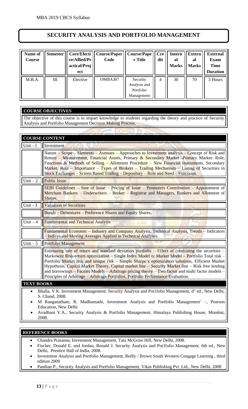#### **SECURITY ANALYSIS AND PORTFOLIO MANAGEMENT**

| Name of<br>Course | <b>Semester</b> | Core/Electi<br>ve/Allied/Pr<br>actical/Proj<br>ect | Course/Paper<br>Code | <b>Course/Pape</b><br>r Title                       | <b>Cre</b><br>dit | <b>Intern</b><br>al<br><b>Marks</b> | <b>Extern</b><br>al<br><b>Marks</b> | <b>External</b><br><b>Exam</b><br><b>Time</b><br><b>Duration</b> |
|-------------------|-----------------|----------------------------------------------------|----------------------|-----------------------------------------------------|-------------------|-------------------------------------|-------------------------------------|------------------------------------------------------------------|
| M.B.A.            | III             | Elective                                           | 19MBA307             | Security<br>Analysis and<br>Portfolio<br>Management | $\overline{4}$    | 30                                  | 70                                  | 3 Hours                                                          |

#### **COURSE OBJECTIVES**

The objective of this course is to impart knowledge to students regarding the theory and practice of Security Analysis and Portfolio Management Decision Making Process.

|                   | <b>COURSE CONTENT</b>                                                                                                                                                                                                                                                                                                                                                                                                                                                                                                                                                                                    |
|-------------------|----------------------------------------------------------------------------------------------------------------------------------------------------------------------------------------------------------------------------------------------------------------------------------------------------------------------------------------------------------------------------------------------------------------------------------------------------------------------------------------------------------------------------------------------------------------------------------------------------------|
| Unit - $1$        | Investment                                                                                                                                                                                                                                                                                                                                                                                                                                                                                                                                                                                               |
|                   | Nature – Scope – Elements – Avenues – Approaches to Investment analysis – Concept of Risk and<br>Return – Measurement, Financial Assets, Primary & Secondary Market -Primary Market: Role,<br>Functions & Methods of Selling – Allotment Procedure – New Financial Instruments. Secondary<br>Market, Role – Importance – Types of Brokers – Trading Mechanism – Listing of Securities in<br>Stock Exchanges – Screen Based Trading – Depository – Role and Need – Functions.                                                                                                                             |
| Unit $-2$         | <b>Public Issue</b>                                                                                                                                                                                                                                                                                                                                                                                                                                                                                                                                                                                      |
|                   | <b>SEBI Guidelines – Size of Issue – Pricing of Issue – Promoters Contribution – Appointment of</b><br>Merchant Bankers – Underwriters – Broker – Registrar and Managers, Bankers and Allotment of<br>Shares.                                                                                                                                                                                                                                                                                                                                                                                            |
| Unit - $3$        | <b>Valuation of Securities</b>                                                                                                                                                                                                                                                                                                                                                                                                                                                                                                                                                                           |
|                   | <b>Bonds</b> – Debentures – Preference Shares and Equity Shares,                                                                                                                                                                                                                                                                                                                                                                                                                                                                                                                                         |
| Unit $-4$         | <b>Fundamental and Technical Analysis</b>                                                                                                                                                                                                                                                                                                                                                                                                                                                                                                                                                                |
|                   | Fundamental Economic - Industry and Company Analysis, Technical Analysis, Trends - Indicators<br>- Indices and Moving Averages Applied in Technical Analyses.                                                                                                                                                                                                                                                                                                                                                                                                                                            |
| Unit $-5$         | <b>Portfolio Management</b>                                                                                                                                                                                                                                                                                                                                                                                                                                                                                                                                                                              |
|                   | Estimating rate of return and standard deviation portfolio – Effect of combining the securities –<br>Markowitz Risk-return optimization - Single Index Model or Market Model - Portfolio Total risk -<br>Portfolio Market risk and unique risk – Simple Sharpe's optimization solutions, Efficient Market<br>Hypothesis, Capital Market Theory, Capital market line - Security Market line - Risk free lending<br>and borrowings – Factors Models – Arbitrage pricing theory – Two factor and multi factor models –<br>Principles of Arbitrage - Arbitrage Portfolios, Portfolio Performance Evaluation. |
| <b>TEXT BOOKS</b> |                                                                                                                                                                                                                                                                                                                                                                                                                                                                                                                                                                                                          |
|                   | Bhalla, V K. Investment Management: Security Analysis and Pot1folio Management, d" ed., New Delhi,<br>S. Chand, 2008.<br>M Ranganatham, R. Madhumathi, Investment Analysis and Portfolio Management' –, Pearson<br>Education, New Delhi                                                                                                                                                                                                                                                                                                                                                                  |

• Avadhani V.A., Security Analysis & Portfolio Management, Himalaya Publishing House, Mumbai, 2008.

- Chandra Prasanna, Investment Management, Tata McGraw Hill, New Delhi, 2008.
- Fischer, Donald E. and Jordan, Ronald J. Security Analysis and Pot1folio Management. 6th ed., New Delhi, Prentice Hall of India, 2008.
- Investment Analysis and Portfolio Management, Reilly / Brown South Western Cengage Learning , third edition 2009
- Pandian P., Security Analysis and Portfolio Management, Vikas Publishing Pvt. Ltd., New Delhi, 2008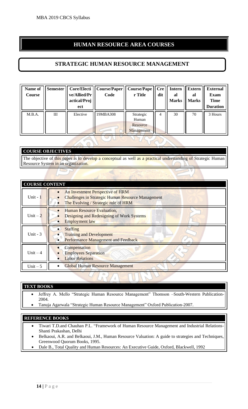#### **HUMAN RESOURCE AREA COURSES**

#### **STRATEGIC HUMAN RESOURCE MANAGEMENT**

| Name of<br><b>Course</b> | Semester | ve/Allied/Pr<br>actical/Proj<br>ect | Core/Electi    Course/Paper<br>Code | <b>Course/Pape</b><br>r Title                | Cre<br>dit | <b>Intern</b><br>al<br><b>Marks</b> | <b>Extern</b><br>al<br><b>Marks</b> | <b>External</b><br>Exam<br><b>Time</b><br><b>Duration</b> |
|--------------------------|----------|-------------------------------------|-------------------------------------|----------------------------------------------|------------|-------------------------------------|-------------------------------------|-----------------------------------------------------------|
| M.B.A.                   | III      | Elective                            | 19MBA308                            | Strategic<br>Human<br>Resource<br>Management | 4          | 30                                  | 70                                  | 3 Hours                                                   |

#### **COURSE OBJECTIVES**

The objective of this paper is to develop a conceptual as well as a practical understanding of Strategic Human Resource System in an organization.

| <b>COURSE CONTENT</b> |                                                                                                                                      |
|-----------------------|--------------------------------------------------------------------------------------------------------------------------------------|
| Unit - $1$            | An Investment Perspective of HRM<br><b>Challenges in Strategic Human Resource Management</b><br>The Evolving / Strategic role of HRM |
| Unit $-2$             | Human Resource Evaluation,<br>Designing and Redesigning of Work Systems<br><b>Employment law</b>                                     |
| Unit - $3$            | <b>Staffing</b><br><b>Training and Development</b><br>Performance Management and Feedback                                            |
| Unit $-4$             | Compensation<br><b>Employees Separation</b><br>$\bullet$<br><b>Labor Relations</b>                                                   |
| Unit $-5$             | <b>Global Human Resource Management</b>                                                                                              |

#### **TEXT BOOKS**

- Jeffrey A. Mello "Strategic Human Resource Management" Thomson –South-Western Publication-2004.
- Tanuja Agarwala "Strategic Human Resource Management" Oxford Publication-2007.

- Tiwari T.D.and Chauhan P.L. "Framework of Human Resource Management and Industrial Relations-Shanti Prakashan, Delhi
- Belkaoui, A.R. and Belkaoui, J.M., Human Resource Valuation: A guide to strategies and Techniques, Greenwood Quorum Books, 1995.
- Dale B., Total Quality and Human Resources: An Executive Guide, Oxford, Blackwell, 1992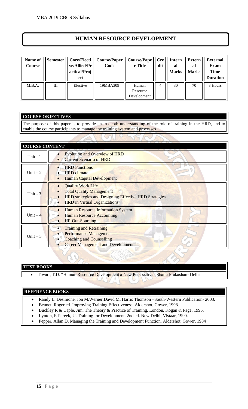#### **HUMAN RESOURCE DEVELOPMENT**

| Name of<br>Course | <b>Semester</b> | ve/Allied/Pr<br>actical/Proj<br>ect | Core/Electi    Course/Paper<br>Code | Course/Pape<br>r Title           | <b>Cre</b><br>dit | Intern<br>al<br><b>Marks</b> | <b>Extern</b><br>al<br><b>Marks</b> | <b>External</b><br>Exam<br><b>Time</b><br><b>Duration</b> |
|-------------------|-----------------|-------------------------------------|-------------------------------------|----------------------------------|-------------------|------------------------------|-------------------------------------|-----------------------------------------------------------|
| M.B.A.            | Ш               | Elective                            | 19MBA309                            | Human<br>Resource<br>Development | 4                 | 30                           | 70                                  | 3 Hours                                                   |

#### **COURSE OBJECTIVES**

The purpose of this paper is to provide an in-depth understanding of the role of training in the HRD, and to enable the course participants to manage the training system and processes

| <b>COURSE CONTENT</b> |                                                                                                                                                                    |
|-----------------------|--------------------------------------------------------------------------------------------------------------------------------------------------------------------|
| Unit - $1$            | <b>Evolution and Overview of HRD</b><br><b>Current Scenario of HRD</b>                                                                                             |
| Unit $-2$             | <b>HRD</b> Functions<br><b>HRD</b> climate<br><b>Human Capital Development</b>                                                                                     |
| Unit $-3$             | <b>Quality Work Life</b><br><b>Total Quality Management</b><br><b>HRD</b> strategies and Designing Effective HRD Strategies<br><b>HRD</b> in Virtual Organizations |
| Unit $-4$             | <b>Human Resource Information System</b><br><b>Human Resource Accounting</b><br><b>HR Out-Sourcing</b>                                                             |
| Unit $-5$             | <b>Training and Retraining</b><br><b>Performance Management</b><br><b>Coaching and Counselling</b><br><b>Career Management and Development</b>                     |

#### **TEXT BOOKS**

• Tiwari, T.D. "Human Resource Development a New Perspective" Shanti Prakashan- Delhi

- Randy L. Desimone, Jon M.Werner,David M. Harris Thomson –South-Western Publication- 2003.
- Beunet, Roger ed. Improving Training Effectiveness. Aldershot, Gower, 1998.
- Buckley R & Caple, Jim. The Theory & Practice of Training. London, Kogan & Page, 1995.
- Lynton, R Pareek, U. Training for Development. 2nd ed. New Delhi, Vistaar, 1990.
- Pepper, Allan D. Managing the Training and Development Function. Aldershot, Gower, 1984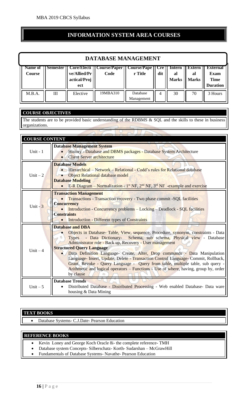#### **INFORMATION SYSTEM AREA COURSES**

| <b>DATABASE MANAGEMENT</b> |   |                                     |                                                                |                        |              |                              |                                     |                                                                  |
|----------------------------|---|-------------------------------------|----------------------------------------------------------------|------------------------|--------------|------------------------------|-------------------------------------|------------------------------------------------------------------|
| Name of<br>Course          |   | ve/Allied/Pr<br>actical/Proj<br>ect | Semester    Core/Electi    Course/Paper    Course/Pape<br>Code | r Title                | l Cre<br>dit | Intern<br>al<br><b>Marks</b> | <b>Extern</b><br>al<br><b>Marks</b> | <b>External</b><br><b>Exam</b><br><b>Time</b><br><b>Duration</b> |
| M.B.A.                     | Ш | Elective                            | 19MBA310                                                       | Database<br>Management | 4            | 30                           | 70                                  | 3 Hours                                                          |

#### **COURSE OBJECTIVES**

The students are to be provided basic understanding of the RDBMS & SQL and the skills to these in business organizations.

#### **COURSE CONTENT**

| Unit - $1$ | <b>Database Management System</b><br>History - Database and DBMS packages - Database System Architecture<br><b>Client Server architecture</b>                                                                                                                                                                                                                                                                                                                                                                                                                                                                                                               |
|------------|-------------------------------------------------------------------------------------------------------------------------------------------------------------------------------------------------------------------------------------------------------------------------------------------------------------------------------------------------------------------------------------------------------------------------------------------------------------------------------------------------------------------------------------------------------------------------------------------------------------------------------------------------------------|
| Unit $-2$  | <b>Database Models</b><br>• Hierarchical – Network – Relational - Codd's rules for Relational database<br><b>Object Relational database model</b><br><b>Database Modeling</b><br>E-R Diagram – Normalization - $1^{st}$ NF, $2^{nd}$ NF, $3^{rd}$ NF -example and exercise                                                                                                                                                                                                                                                                                                                                                                                  |
| Unit $-3$  | <b>Transaction Management</b><br>Transactions - Transaction recovery - Two phase commit -SQL facilities<br><b>Concurrency</b><br><b>Introduction - Concurrency problems – Locking – Deadlock - SQL facilities</b><br><b>Constraints</b><br><b>Introduction - Different types of Constraints</b>                                                                                                                                                                                                                                                                                                                                                             |
| Unit $-4$  | <b>Database and DBA</b><br>Objects in Database- Table, View, sequence, Procedure, synonym, constraints - Data<br>- Data Dictionary- Schema, sub schema, Physical view - Database<br><b>Types</b><br>Administrator role - Back up, Recovery - User management<br><b>Structured Query Language</b><br>Data Definition Language- Create, Alter, Drop commands - Data Manipulation<br>Language- Insert, Update, Delete - Transaction Control Language- Commit, Rollback,<br>Grant, Revoke - Query Language - Query from table, multiple table, sub query -<br>Arithmetic and logical operators - Functions - Use of where, having, group by, order<br>by clause |
| Unit $-5$  | <b>Database Trends</b><br>Distributed Database - Distributed Processing - Web enabled Database- Data ware<br>housing & Data Mining                                                                                                                                                                                                                                                                                                                                                                                                                                                                                                                          |

#### **TEXT BOOKS**

• Database Systems- C.J.Date- Pearson Education

- Kevin Loney and George Koch Oracle 8i- the complete reference- TMH
- Database system Concepts- Silberschatz- Korth- Sudarshan McGrawHill
- Fundamentals of Database Systems- Navathe- Pearson Education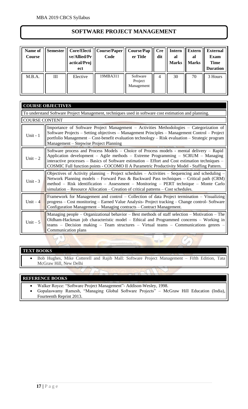#### **SOFTWARE PROJECT MANAGEMENT**

| Name of<br>Course | Semester | ve/Allied/Pr<br>actical/Proj<br>ect | Core/Electi    Course/Paper  <br>Code | <b>Course/Pap</b><br>er Title     | <b>Cre</b><br>dit | <b>Intern</b><br>al<br><b>Marks</b> | <b>Extern</b><br>al<br><b>Marks</b> | <b>External</b><br><b>Exam</b><br><b>Time</b><br><b>Duration</b> |
|-------------------|----------|-------------------------------------|---------------------------------------|-----------------------------------|-------------------|-------------------------------------|-------------------------------------|------------------------------------------------------------------|
| M.B.A.            | III      | Elective                            | 19MBA311                              | Software<br>Project<br>Management | 4                 | 30                                  | 70                                  | 3 Hours                                                          |

|           | <b>COURSE OBJECTIVES</b>                                                                                                                                                                                                                                                                                                                                                             |  |  |  |  |  |  |  |
|-----------|--------------------------------------------------------------------------------------------------------------------------------------------------------------------------------------------------------------------------------------------------------------------------------------------------------------------------------------------------------------------------------------|--|--|--|--|--|--|--|
|           | To understand Software Project Management, techniques used in software cost estimation and planning.                                                                                                                                                                                                                                                                                 |  |  |  |  |  |  |  |
|           | <b>COURSE CONTENT</b>                                                                                                                                                                                                                                                                                                                                                                |  |  |  |  |  |  |  |
| Unit $-1$ | Importance of Software Project Management – Activities Methodologies – Categorization of<br>Software Projects - Setting objectives - Management Principles - Management Control - Project<br>portfolio Management - Cost-benefit evaluation technology - Risk evaluation - Strategic program<br>Management – Stepwise Project Planning                                               |  |  |  |  |  |  |  |
| Unit $-2$ | Software process and Process Models - Choice of Process models - mental delivery - Rapid<br>Application development – Agile methods – Extreme Programming – SCRUM – Managing<br>interactive processes $-$ Basics of Software estimation $-$ Effort and Cost estimation techniques $-$<br>COSMIC Full function points - COCOMO II A Parametric Productivity Model - Staffing Pattern. |  |  |  |  |  |  |  |
| Unit $-3$ | Objectives of Activity planning – Project schedules – Activities – Sequencing and scheduling –<br>Network Planning models - Forward Pass & Backward Pass techniques - Critical path (CRM)<br>method - Risk identification - Assessment - Monitoring - PERT technique - Monte Carlo<br>simulation – Resource Allocation – Creation of critical patterns – Cost schedules.             |  |  |  |  |  |  |  |
| Unit $-4$ | Framework for Management and control – Collection of data Project termination – Visualizing<br>progress - Cost monitoring - Earned Value Analysis- Project tracking - Change control- Software<br>Configuration Management - Managing contracts - Contract Management.                                                                                                               |  |  |  |  |  |  |  |
| Unit $-5$ | Managing people – Organizational behavior – Best methods of staff selection – Motivation – The<br>Oldham-Hackman job characteristic model - Ethical and Programmed concerns - Working in<br>teams - Decision making - Team structures - Virtual teams - Communications genres -<br>Communication plans                                                                               |  |  |  |  |  |  |  |

#### **TEXT BOOKS**

• Bob Hughes, Mike Cotterell and Rajib Mall: Software Project Management – Fifth Edition, Tata McGraw Hill, New Delhi

-1

 $\overline{\phantom{a}}$ 

#### **REFERENCE BOOKS**

• Walker Royce: "Software Project Management"- Addison-Wesley, 1998.

 $\sqrt{}$ 

 $\sqrt{ }$ 

• Gopalaswamy Ramesh, "Managing Global Software Projects" – McGraw Hill Education (India), Fourteenth Reprint 2013.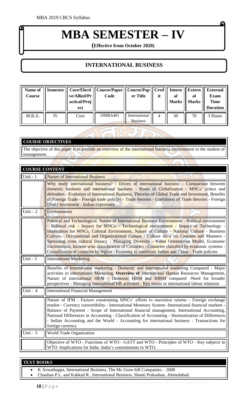# **MBA SEMESTER – IV**

G

**(Effective from October 2020)**

#### **INTERNATIONAL BUSINESS**

| Name of<br>Course |    | ve/Allied/Pr<br>actical/Proj<br>ect | Semester    Core/Electi    Course/Paper    Course/Pap    Cred    Intern<br>Code | er Title                         | it | al<br><b>Marks</b> | Extern<br>al<br><b>Marks</b> | <b>External</b><br><b>Exam</b><br><b>Time</b><br><b>Duration</b> |
|-------------------|----|-------------------------------------|---------------------------------------------------------------------------------|----------------------------------|----|--------------------|------------------------------|------------------------------------------------------------------|
| M.B.A.            | IV | Core                                | 19MBA401                                                                        | International<br><b>Business</b> | 4  | 30                 | 70                           | 3 Hours                                                          |

#### **COURSE OBJECTIVES**

The objective of this paper is to provide an overview of the international business environment to the student of management.

 $\sqrt{}$ 

| <b>COURSE CONTENT</b> |                                                                                                                                                                                                                                                                                                                                                                                                                                                                                                                                                                                                                                                                                                    |
|-----------------------|----------------------------------------------------------------------------------------------------------------------------------------------------------------------------------------------------------------------------------------------------------------------------------------------------------------------------------------------------------------------------------------------------------------------------------------------------------------------------------------------------------------------------------------------------------------------------------------------------------------------------------------------------------------------------------------------------|
| Unit - $1$            | <b>Nature of International Business</b>                                                                                                                                                                                                                                                                                                                                                                                                                                                                                                                                                                                                                                                            |
|                       | Why study international business? - Drives of international business - Comparison between<br>domestic business and international business - Routs of Globalization - MNCs' critics and<br>defenders - Evolution of International Business, Theories of Global Trade and Investment, Benefits<br>of Foreign Trade - Foreign trade policies - Trade theories - Usefulness of Trade theories - Foreign<br>Direct Investment - Indian experience                                                                                                                                                                                                                                                       |
| Unit $-2$             | <b>Environments</b>                                                                                                                                                                                                                                                                                                                                                                                                                                                                                                                                                                                                                                                                                |
|                       | Political and Technological, Nature of International Business Environment - Political environment<br>- Political risk - Impact for MNCs - Technological environment - Impact of Technology -<br>Implication for MNCs, Cultural Environment, Nature of Culture - National Culture - Business<br>Culture - Occupational and Organizational Culture - Culture vis-a vis Customs and Manners -<br>Spreading cross cultural literacy - Managing Diversity - Value Orientations Model, Economic<br>Environment, Income wise classification of Countries - Countries classified by economic systems -<br>Classification of countries by region - Economy in transition; Indian and China - Trade policies |
| Unit - $3$            | <b>International Marketing</b>                                                                                                                                                                                                                                                                                                                                                                                                                                                                                                                                                                                                                                                                     |
|                       | Benefits of International marketing - Domestic and International marketing Compared - Major<br>activities in international Marketing, Overview of International Human Resources Management,<br>Nature of international HRM - Domestic HRM and IHRM compared -Need for broader<br>perspectives - Managing international HR activities - Key issues in international labour relations                                                                                                                                                                                                                                                                                                                |
| Unit $-4$             | <b>International Financial Management</b>                                                                                                                                                                                                                                                                                                                                                                                                                                                                                                                                                                                                                                                          |
|                       | Nature of IFM - Factors constraining MNCs' efforts to maximize returns - Foreign exchange<br>market - Currency convertibility - International Monetary System- International financial markets -<br>Balance of Payment - Scope of International financial management, International Accounting,<br>National Differences in Accounting - Classification of Accounting - Harmonization of Differences<br>- Indian Accounting and the World - Accounting for international business - Transactions for<br>foreign currency                                                                                                                                                                            |
| Unit $-5$             | World Trade Organization                                                                                                                                                                                                                                                                                                                                                                                                                                                                                                                                                                                                                                                                           |
|                       | Objective of WTO - Functions of WTO - GATT and WTO - Principles of WTO - Key subjects in<br>WTO -Implications for India -India's commitments to WTO.                                                                                                                                                                                                                                                                                                                                                                                                                                                                                                                                               |

#### **TEXT BOOKS**

- K Aswathappa, International Business, The Mc Graw hill Companies 2008
- Chauhan P.L. and Kakkad R., International Business, Shanti Prakashan, Ahmedabad.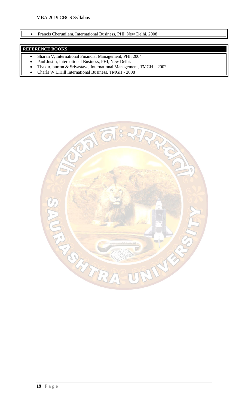#### • Francis Cherunilam, International Business, PHI, New Delhi, 2008

- Sharan V, International Financial Management, PHI, 2004
- Paul Justin, International Business, PHI, New Delhi.
- Thakur, burton & Srivastava, International Management, TMGH 2002
- Charls W.L.Hill International Business, TMGH 2008

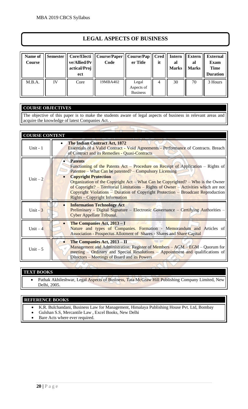#### **LEGAL ASPECTS OF BUSINESS**

| Name of<br><b>Course</b> | <b>Semester</b> | ve/Allied/Pr<br>actical/Proj<br>ect | Core/Electi    Course/Paper<br>Code | Course/Pap<br>er Title                 | <b>Cred</b><br>it | <b>Intern</b><br>al<br><b>Marks</b> | <b>Extern</b><br>al<br><b>Marks</b> | <b>External</b><br><b>Exam</b><br><b>Time</b><br><b>Duration</b> |
|--------------------------|-----------------|-------------------------------------|-------------------------------------|----------------------------------------|-------------------|-------------------------------------|-------------------------------------|------------------------------------------------------------------|
| M.B.A.                   | IV              | Core                                | 19MBA402                            | Legal<br>Aspects of<br><b>Business</b> | 4                 | 30                                  | 70                                  | 3 Hours                                                          |

#### **COURSE OBJECTIVES**

The objective of this paper is to make the students aware of legal aspects of business in relevant areas and acquire the knowledge of latest Companies Act. .

| <b>COURSE CONTENT</b> |                                                                                                                                                                                                                                                                                                                                                                                                                                                                                                      |
|-----------------------|------------------------------------------------------------------------------------------------------------------------------------------------------------------------------------------------------------------------------------------------------------------------------------------------------------------------------------------------------------------------------------------------------------------------------------------------------------------------------------------------------|
| Unit - $1$            | <b>The Indian Contract Act, 1872</b><br>Essentials of a Valid Contract - Void Agreements - Performance of Contracts. Breach<br>of Contract and its Remedies - Quasi-Contracts                                                                                                                                                                                                                                                                                                                        |
| Unit $-2$             | <b>Patents</b><br>Functioning of the Patents Act - Procedure on Receipt of Application - Rights of<br>Patentee – What Can be patented? – Compulsory Licensing<br><b>Copyright Protection</b><br>Organization of the Copyright Act – What Can be Copyrighted? – Who is the Owner<br>of Copyright? – Territorial Limitations – Rights of Owner – Activities which are not<br>Copyright Violations – Duration of Copyright Protection – Broadcast Reproduction<br><b>Rights – Copyright Information</b> |
| Unit $-3$             | <b>Information Technology Act</b><br><b>Preliminary - Digital Signature – Electronic Governance – Certifying Authorities –</b><br>Cyber Appellate Tribunal.                                                                                                                                                                                                                                                                                                                                          |
| Unit $-4$             | The Companies Act, 2013 - I<br>Nature and types of Companies. Formation - Memorandum and Articles of<br><b>Association - Prospectus Allotment of Shares - Shares and Share Capital</b>                                                                                                                                                                                                                                                                                                               |
| Unit $-5$             | The Companies Act, 2013 - II<br>Management and Administration: Register of Members – AGM – EGM – Quorum for<br>meeting – Ordinary and Special Resolutions – Appointment and qualifications of<br>Directors – Meetings of Board and its Powers                                                                                                                                                                                                                                                        |

#### **TEXT BOOKS**

• Pathak Akhileshwar, Legal Aspects of Business, Tata McGraw Hill Publishing Company Limited, New Delhi, 2005.

- K.R. Bulchandani, Business Law for Management, Himalaya Publishing House Pvt. Ltd, Bombay
- Gulshan S.S, Mercantile Law , Excel Books, New Delhi
- Bare Acts where ever required.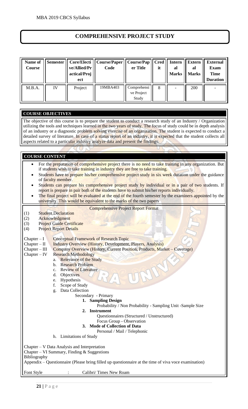#### **COMPREHENSIVE PROJECT STUDY**

| Name of<br>Course | Semester | ve/Allied/Pr<br>actical/Proj<br>ect | Core/Electi    Course/Paper   <br>Code | Course/Pap<br>er Title             | it | $Cred \mid$ Intern<br>al<br><b>Marks</b> | <b>Extern</b><br>al<br><b>Marks</b> | <b>External</b><br><b>Exam</b><br><b>Time</b><br><b>Duration</b> |
|-------------------|----------|-------------------------------------|----------------------------------------|------------------------------------|----|------------------------------------------|-------------------------------------|------------------------------------------------------------------|
| M.B.A.            | IV       | Project                             | 19MBA403                               | Comprehensi<br>ve Project<br>Study | 8  |                                          | 200                                 |                                                                  |

#### **COURSE OBJECTIVES**

The objective of this course is to prepare the student to conduct a research study of an Industry / Organization utilizing the tools and techniques learned in the two years of study. The focus of study could be in depth analysis of an industry or a diagnostic problem solving exercise of an organization. The student is expected to conduct a detailed survey of literature. In case of a status report of an industry, it is expected that the student collects all aspects related to a particular industry analyze data and present the findings.

#### **COURSE CONTENT**

- For the preparation of comprehensive project there is no need to take training in any organization. But if students wish to take training in industry they are free to take training.
- Students have to prepare his/her comprehensive project study in six week duration under the guidance of faculty member.
- Students can prepare his comprehensive project study by individual or in a pair of two students. If report is prepare in pair both of the students have to submit his/her reports individually.
- The final project will be evaluated at the end of the fourth semester by the examiners appointed by the university. This would be equivalent to the marks of the two papers

|  | <b>Comprehensive Project Report Format</b> |  |  |
|--|--------------------------------------------|--|--|
|  |                                            |  |  |
|  |                                            |  |  |
|  |                                            |  |  |

- (1) Student Declaration
- (2) Acknowledgment
- (3) Project Guide Certificate
- (4) Project Report Details
- Chapter I Conceptual Framework of Research Topic
- Chapter II Industry Overview (History, Development, Players, Analysis)
- Chapter III Company Overview (History, Current Position, Products, Market Coverage)
- Chapter IV Research Methodology
	- a. Relevance of the Study
	- b. Research Problem
	- c. Review of Literature
	- d. Objectives
	- e. Hypothesis
	- f. Scope of Study
	- g. Data Collection
		- - Secondary Primary **1. Sampling Design**
				- Probability / Non Probability Sampling Unit -Sample Size
				- **2. Instrument**
					- Questionnaires (Structured / Unstructured)
					- Focus Group Observation
				- **3. Mode of Collection of Data**
					- Personal / Mail / Telephonic
	- h. Limitations of Study

Chapter – V Data Analysis and Interpretation

Chapter – VI Summary, Finding  $&$  Suggestions

Bibliography

Appendix – Questionnaire (Please bring filled up questionnaire at the time of viva voce examination)

Font Style : Calibri/ Times New Roam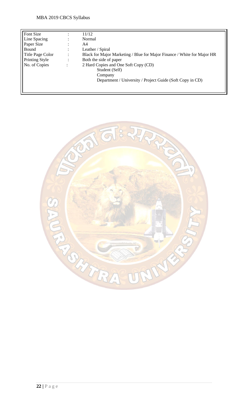| Font Size        |                | 11/12                                                                   |
|------------------|----------------|-------------------------------------------------------------------------|
| Line Spacing     | ٠              | Normal                                                                  |
| Paper Size       |                | A4                                                                      |
| Bound            |                | Leather / Spiral                                                        |
| Title Page Color |                | Black for Major Marketing / Blue for Major Finance / White for Major HR |
| Printing Style   | $\ddot{\cdot}$ | Both the side of paper                                                  |
| No. of Copies    |                | 2 Hard Copies and One Soft Copy (CD)                                    |
|                  |                | Student (Self)                                                          |
|                  |                | Company                                                                 |
|                  |                | Department / University / Project Guide (Soft Copy in CD)               |
|                  |                |                                                                         |
|                  |                |                                                                         |

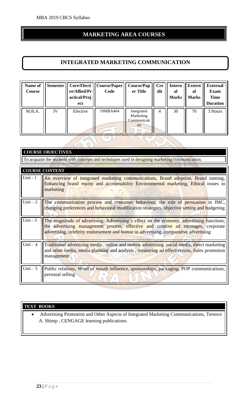#### **MARKETING AREA COURSES**

#### **INTEGRATED MARKETING COMMUNICATION**

| Name of<br>Course | <b>Semester</b> | Core/Electi<br>ve/Allied/Pr<br>actical/Proj<br>ect | Course/Paper<br>Code | <b>Course/Pap</b><br>er Title                | <b>Cre</b><br>dit | <b>Intern</b><br>al<br><b>Marks</b> | <b>Extern</b><br>al<br><b>Marks</b> | <b>External</b><br><b>Exam</b><br><b>Time</b><br><b>Duration</b> |
|-------------------|-----------------|----------------------------------------------------|----------------------|----------------------------------------------|-------------------|-------------------------------------|-------------------------------------|------------------------------------------------------------------|
| M.B.A.            | IV              | Elective                                           | 19MBA404             | Integrated<br>Marketing<br>Communicati<br>on | 4                 | 30                                  | 70                                  | 3 Hours                                                          |

 $\bigcap$ 

|           | <b>COURSE OBJECTIVES</b>                                                                                                                                                                                                                                               |
|-----------|------------------------------------------------------------------------------------------------------------------------------------------------------------------------------------------------------------------------------------------------------------------------|
|           | To acquaint the students with concepts and techniques used in designing marketing communication.                                                                                                                                                                       |
|           | <b>COURSE CONTENT</b>                                                                                                                                                                                                                                                  |
| Unit $-1$ |                                                                                                                                                                                                                                                                        |
|           | An overview of integrated marketing communications, Brand adoption, Brand naming,<br>Enhancing brand equity and accountability Environmental marketing, Ethical issues in<br>marketing                                                                                 |
| Unit $-2$ | The communication process and consumer behaviour, the role of persuasion in IMC,<br>changing preferences and behavioral modification strategies, objective setting and budgeting                                                                                       |
| Unit $-3$ | The magnitude of advertising, Advertising's effect on the economy, advertising functions,<br>the advertising management process, effective and creative ad messages, corporate<br>advertising, celebrity endorsement and humor in advertising, comparative advertising |
| Unit $-4$ | Traditional advertising media, online and mobile advertising, social media, direct marketing<br>and other media, media planning and analysis, measuring ad effectiveness, Sales promotion<br>management                                                                |
| Unit $-5$ | Public relations, Word of mouth influence, sponsorships, packaging, POP communications,<br>personal selling                                                                                                                                                            |

#### **TEXT BOOKS**

• [Advertising Promotion and Other Aspects of Integrated Marketing Communications,](https://www.cengage.co.in/category/higher-education/business-economics/marketing/advertising/advertising-promotion-and-other-aspects-of-integrated-marketing-communications-uh) Terence A. Shimp , CENGAGE learning publications.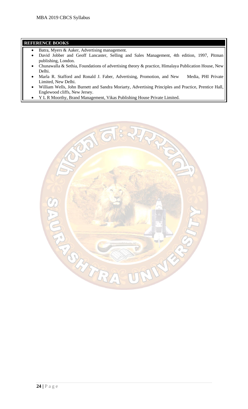- Batra, Myers & Aaker, Advertising management.
- David Jobber and Geoff Lancaster, Selling and Sales Management, 4th edition, 1997, Pitman publishing, London.
- Chunawalla & Sethia, Foundations of advertising theory & practice, Himalaya Publication House, New Delhi.
- Marla R. Stafford and Ronald J. Faber, Advertising, Promotion, and New Media, PHI Private Limited, New Delhi.
- William Wells, John Burnett and Sandra Moriarty, Advertising Principles and Practice, Prentice Hall, Englewood cliffs, New Jersey.
- Y L R Moorthy, Brand Management, Vikas Publishing House Private Limited.

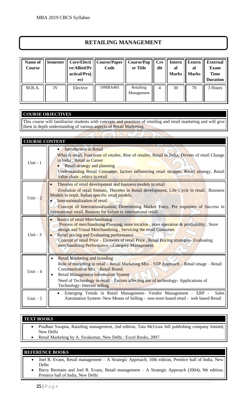#### **RETAILING MANAGEMENT**

| Name of<br>Course | <b>Semester</b> | Core/Electi<br>ve/Allied/Pr<br>actical/Proj<br>ect | Course/Paper   <br>Code | <b>Course/Pap</b><br>er Title | <b>Cre</b><br>dit | <b>Intern</b><br>al<br><b>Marks</b> | <b>Extern</b><br>al<br><b>Marks</b> | <b>External</b><br><b>Exam</b><br><b>Time</b><br><b>Duration</b> |
|-------------------|-----------------|----------------------------------------------------|-------------------------|-------------------------------|-------------------|-------------------------------------|-------------------------------------|------------------------------------------------------------------|
| M.B.A.            | IV              | Elective                                           | 19MBA405                | Retailing<br>Management       |                   | 30                                  | 70                                  | 3 Hours                                                          |

#### **COURSE OBJECTIVES**

This course will familiarize students with concepts and practices of retailing and retail marketing and will give them in depth understanding of various aspects of Retail Marketing.

| <b>COURSE CONTENT</b> |                                                                                                                                                                                                                                                                                                                                                                                                                    |
|-----------------------|--------------------------------------------------------------------------------------------------------------------------------------------------------------------------------------------------------------------------------------------------------------------------------------------------------------------------------------------------------------------------------------------------------------------|
| Unit - 1              | <b>Introduction to Retail</b><br>What is retail, Functions of retailer, Rise of retailer, Retail in India, Drivers of retail Change<br>in India, Retail as Career<br><b>Retail strategy and planning</b><br>Understanding Retail Consumer, factors influencing retail shopper, Retail strategy, Retail<br>value chain, ethics in retail                                                                            |
| Unit $-2$             | Theories of retail development and business models in retail<br>Evolution of retail formats, Theories in Retail development, Life Cycle in retail, Business<br>Models in retail, Indian specific retail models.<br>Internationalization of retail<br>Concept of Internationalization, Determining Market Entry, Pre requisites of Success in<br>international retail, Reasons for failure in international retail. |
| Unit - $3$            | <b>Basics of retail Merchandising</b><br>Process of merchandising Planning, store location, store operation & profitability, Store<br>design and Visual Merchandising, Servicing the retail Consumer<br><b>Retail pricing and Evaluating performance</b><br>Concept of retail Price – Elements of retail Price, Retail Pricing strategies- Evaluating<br>merchandising Performance - Category Management.          |
| Unit $-4$             | <b>Retail Marketing and branding</b><br>Role of marketing in retail - Retail Marketing Mix - STP Approach - Retail image - Retail<br>Communication Mix - Retail Brand.<br><b>Retail Management information System</b><br>Need of Technology in retail - Factors affecting use of technology- Applications of<br>Technology- Internet selling                                                                       |
| Unit $-5$             | Emerging Trends in Retail Management- Vendor Management - ERP -<br><b>Sales</b><br>Automation System-New Means of Selling - non-store based retail - web based Retail                                                                                                                                                                                                                                              |

#### **TEXT BOOKS**

- Pradhan Swapna, Ratailing management, 2nd edition, Tata McGraw hill publishing company limited, New Delhi
- Retail Marketing by A. Sivakumar, New Delhi : Excel Books, 2007.

- Joel R. Evans, Retail management A Strategic Approach, 10th edition, Prentice hall of India, New Delhi
- Barry Bermans and Joel R. Evans, Retail management A Strategic Approach (2004), 9th edition, Prentice hall of India, New Delhi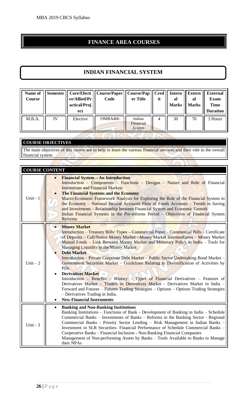#### **FINANCE AREA COURSES**

#### **INDIAN FINANCIAL SYSTEM**

| 19MBA406<br>Indian<br>M.B.A.<br>IV<br>Elective<br>30<br>70<br>3 Hours<br>4<br>Financial<br>System | Name of<br>Course | <b>Semester</b> | ve/Allied/Pr<br>actical/Proj<br>ect | Core/Electi    Course/Paper   <br>Code | <b>Course/Pap</b><br>er Title | <b>Cred</b><br>it | <b>Intern</b><br>al<br><b>Marks</b> | <b>Extern</b><br>al<br><b>Marks</b> | <b>External</b><br><b>Exam</b><br><b>Time</b><br><b>Duration</b> |
|---------------------------------------------------------------------------------------------------|-------------------|-----------------|-------------------------------------|----------------------------------------|-------------------------------|-------------------|-------------------------------------|-------------------------------------|------------------------------------------------------------------|
|                                                                                                   |                   |                 |                                     |                                        |                               |                   |                                     |                                     |                                                                  |

#### **COURSE OBJECTIVES**

The main objectives of this course are to help to learn the various financial services and their role in the overall financial system.  $\mathbbmss{}$ 

| <b>COURSE CONTENT</b> |                                                                                                                                                                                                                                                                                                                                                                                                                                                                                                                                                                                                                                                                                                                                                                                                                                                                                                                                                                                |
|-----------------------|--------------------------------------------------------------------------------------------------------------------------------------------------------------------------------------------------------------------------------------------------------------------------------------------------------------------------------------------------------------------------------------------------------------------------------------------------------------------------------------------------------------------------------------------------------------------------------------------------------------------------------------------------------------------------------------------------------------------------------------------------------------------------------------------------------------------------------------------------------------------------------------------------------------------------------------------------------------------------------|
| Unit - $1$            | <b>Financial System - An Introduction</b><br>Introduction – Components – Functions – Designs – Nature and Role of Financial<br><b>Institutions and Financial Markets</b><br><b>The Financial Systems and the Economy</b><br>Macro-Economic Framework Analysis for Exploring the Role of the Financial System in<br>the Economy – National Income Accounts Flow of Funds Accounts – Trends in Saving<br>and Investments – Relationship between Financial System and Economic Growth<br>Indian Financial Systems in the Pre-reforms Period - Objectives of Financial System<br><b>Reforms</b>                                                                                                                                                                                                                                                                                                                                                                                    |
| Unit $-2$             | <b>Money Market</b><br>$\bullet$<br><b>Introduction – Treasury Bills: Types – Commercial Paper – Commercial Bills – Certificate</b><br>of Deposits - Call/Notice Money Market - Money Market Intermediaries - Money Market<br>Mutual Funds – Link Between Money Market and Monetary Policy in India – Tools for<br>Managing Liquidity in the Money Market<br><b>Debt Market</b><br><b>Introduction – Private Corporate Debt Market – Public Sector Undertaking Bond Market –</b><br>Government Securities Market - Guidelines Relating to Diversification of Activities by<br><b>PDs</b><br><b>Derivatives Market</b><br>$\bullet$<br>Introduction – Benefits – History – Types of Financial Derivatives – Features of<br>Derivatives Market - Traders in Derivatives Market - Derivatives Market in India -<br>Forward and Futures - Futures Trading Strategies - Options - Options Trading Strategies<br>- Derivatives Trading in India.<br><b>New Financial Instruments</b> |
| Unit - $3$            | <b>Banking and Non-Banking Institutions</b><br>$\bullet$<br>Banking Institutions – Functions of Bank - Development of Banking in India – Schedule<br>Commercial Banks – Investments of Banks – Reforms in the Banking Sector - Regional<br>Commercial Banks - Priority Sector Lending - Risk Management in Indian Banks -<br>Investment in SLR Securities- Financial Performance of Schedule Commercial Banks -<br>Cooperative Banks - Financial Inclusion - Non-Banking Financial Companies<br>Management of Non-performing Assets by Banks - Tools Available to Banks to Manage<br>their NPAs                                                                                                                                                                                                                                                                                                                                                                                |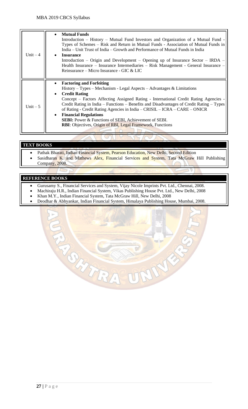| Unit $-4$ | <b>Mutual Funds</b><br>$\bullet$<br>Introduction – History – Mutual Fund Investors and Organization of a Mutual Fund -<br>Types of Schemes – Risk and Return in Mutual Funds - Association of Mutual Funds in<br>India – Unit Trust of India – Growth and Performance of Mutual Funds in India<br><b>Insurance</b><br>$\bullet$<br>Introduction – Origin and Development – Opening up of Insurance Sector – IRDA –<br>Health Insurance – Insurance Intermediaries – Risk Management - General Insurance –<br>Reinsurance – Micro Insurance - GIC & LIC                                               |
|-----------|------------------------------------------------------------------------------------------------------------------------------------------------------------------------------------------------------------------------------------------------------------------------------------------------------------------------------------------------------------------------------------------------------------------------------------------------------------------------------------------------------------------------------------------------------------------------------------------------------|
| Unit $-5$ | <b>Factoring and Forfeiting</b><br>$History - Types - Mechanism - Legal Aspects - Advantages & Limitations$<br><b>Credit Rating</b><br>$\bullet$<br>Concept – Factors Affecting Assigned Rating - International Credit Rating Agencies -<br>Credit Rating in India – Functions – Benefits and Disadvantages of Credit Rating – Types<br>of Rating - Credit Rating Agencies in India - CRISIL - ICRA - CARE - ONICR<br><b>Financial Regulations</b><br>$\bullet$<br><b>SEBI:</b> Power & Functions of SEBI, Achievement of SEBI.<br><b>RBI:</b> Objectives, Origin of RBI, Legal Framework, Functions |

#### **TEXT BOOKS**

- Pathak Bharati, Indian Financial System, Pearson Education, New Delhi, Second Edition
- Sasidharan K. and Mathews Alex, Financial Services and System, Tata McGraw Hill Publishing Company, 2008.

- Gurusamy S., Financial Services and System, Vijay Nicole Imprints Pvt. Ltd., Chennai, 2008.
- Machiraju H.R., Indian Financial System, Vikas Publishing House Pvt. Ltd., New Delhi, 2008
- Khan M.Y., Indian Financial System, Tata McGraw Hill, New Delhi, 2008
- Deodhar & Abhyankar, Indian Financial System, Himalaya Publishing House, Mumbai, 2008.

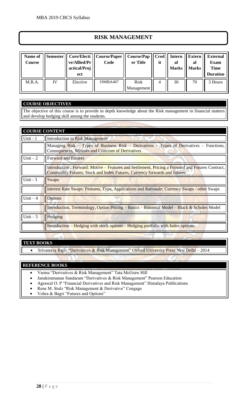#### **RISK MANAGEMENT**

| Name of<br>Course | Semester | ve/Allied/Pr  <br>actical/Proj<br>ect | Core/Electi    Course/Paper  <br>Code | Course/Pap<br>er Title    | it | Cred   Intern<br>al<br><b>Marks</b> | <b>Extern</b><br>al<br><b>Marks</b> | <b>External</b><br>Exam<br>Time<br><b>Duration</b> |
|-------------------|----------|---------------------------------------|---------------------------------------|---------------------------|----|-------------------------------------|-------------------------------------|----------------------------------------------------|
| M.B.A.            | IV       | Elective                              | 19MBA407                              | <b>Risk</b><br>Management | 4  | 30                                  | 70                                  | 3 Hours                                            |

#### **COURSE OBJECTIVES**

The objective of this course is to provide in depth knowledge about the Risk management in financial matters and develop hedging skill among the students.

| <b>COURSE CONTENT</b> |                                                                                                                                                                                |
|-----------------------|--------------------------------------------------------------------------------------------------------------------------------------------------------------------------------|
| Unit - 1              | Introduction to Risk Management                                                                                                                                                |
|                       | Managing Risk - Types of Business Risk - Derivatives - Types of Derivatives - Functions,<br><b>Consequences, Misuses and Criticism of Derivatives</b>                          |
| Unit $-2$             | <b>Forward and Futures</b>                                                                                                                                                     |
|                       | Introduction, Forward: Motive – Features and Settlement, Pricing a Forward and Futures Contract,<br>Commodity Futures, Stock and Index Futures, Currency forwards and futures. |
| Unit - $3$            | <b>Swaps</b>                                                                                                                                                                   |
|                       | <b>Interest Rate Swaps: Features, Type, Applications and Rationale; Currency Swaps - other Swaps</b>                                                                           |
| Unit $-4$             | <b>Options</b>                                                                                                                                                                 |
|                       | Introduction, Terminology, Option Pricing – Basics – Binomial Model – Black & Scholes Model                                                                                    |
| Unit $-5$             | Hedging                                                                                                                                                                        |
|                       | <u>Introduction – Hedging with stock options – Hedging portfolio with Index options.</u>                                                                                       |
|                       |                                                                                                                                                                                |

#### **TEXT BOOKS**

• Srivastava Rajiv "Derivatives & Risk Management" Oxford University Press New Delhi – 2014

- Varma "Derivatives & Risk Management" Tata McGraw Hill
- Janakiramanan Sundaram "Derivatives & Risk Management" Pearson Education
- Agrawal O. P "Financial Derivatives and Risk Management" Himalaya Publications
- Rene M. Stulz "Risk Management & Derivative" Cengage
- Vohra & Bagri "Futures and Options"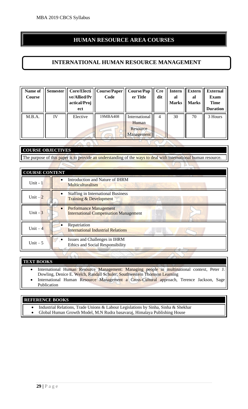#### **HUMAN RESOURCE AREA COURSES**

#### **INTERNATIONAL HUMAN RESOURCE MANAGEMENT**

| Name of<br>Course | <b>Semester</b> | Core/Electi<br>ve/Allied/Pr<br>actical/Proj<br>ect | Course/Paper<br>Code | <b>Course/Pap</b><br>er Title                    | <b>Cre</b><br>dit | Intern<br>al<br><b>Marks</b> | <b>Extern</b><br>al<br><b>Marks</b> | <b>External</b><br><b>Exam</b><br><b>Time</b><br><b>Duration</b> |
|-------------------|-----------------|----------------------------------------------------|----------------------|--------------------------------------------------|-------------------|------------------------------|-------------------------------------|------------------------------------------------------------------|
| M.B.A.            | IV              | Elective                                           | 19MBA408             | International<br>Human<br>Resource<br>Management | 4                 | 30                           | 70                                  | 3 Hours                                                          |

#### **COURSE OBJECTIVES** The purpose of this paper is to provide an understanding of the ways to deal with international human resource.

| <b>COURSE CONTENT</b> |                                                                                |
|-----------------------|--------------------------------------------------------------------------------|
| Unit - $1$            | Introduction and Nature of IHRM<br>$\bullet$<br>Multiculturalism               |
| Unit $-2$             | <b>Staffing in International Business</b><br><b>Training &amp; Development</b> |
| Unit $-3$             | <b>Performance Management</b><br><b>International Compensation Management</b>  |
| Unit $-4$             | Repatriation<br><b>International Industrial Relations</b>                      |
| Unit $-5$             | Issues and Challenges in IHRM<br>Ethics and Social Responsibility              |

#### **TEXT BOOKS**

- International Human Resource Management: Managing people in multinational context, Peter J. Dowling, Denice E. Welch, Randall Schuler, Southwestern Thomson Learning
- International Human Resource Management a Cross-Cultural approach, Terence Jackson, Sage Publication

#### **REFERENCE BOOKS**

- Industrial Relations, Trade Unions & Labour Legislations by Sinha, Sinha & Shekhar
- Global Human Growth Model, M.N Rudra basavaraj, Himalaya Publishing House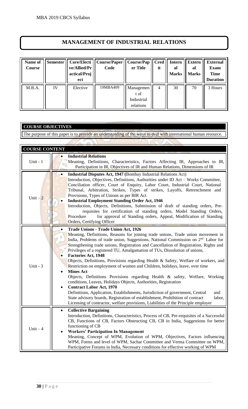#### **MANAGEMENT OF INDUSTRIAL RELATIONS**

| Name of<br>Course | <b>Semester</b> | Core/Electi<br>ve/Allied/Pr<br>actical/Proj<br>ect | Course/Paper  <br>Code | Course/Pap<br>er Title                       | <b>Cred</b><br>it | Intern<br>al<br><b>Marks</b> | <b>Extern</b><br>al<br><b>Marks</b> | <b>External</b><br><b>Exam</b><br><b>Time</b><br><b>Duration</b> |
|-------------------|-----------------|----------------------------------------------------|------------------------|----------------------------------------------|-------------------|------------------------------|-------------------------------------|------------------------------------------------------------------|
| M.B.A.            | IV              | Elective                                           | 19MBA409               | Managemen<br>t of<br>Industrial<br>relations | 4                 | 30                           | 70                                  | 3 Hours                                                          |

#### **COURSE OBJECTIVES**

The purpose of this paper is to provide an understanding of the ways to deal with international human resource.

| <b>COURSE CONTENT</b> |                                                                                                                                                                                                                                                                                                                                                                                                                                                                                                                                                                                                                                                                                                                                                                                                                                                                                                                                                                                                                                                                                                                                     |
|-----------------------|-------------------------------------------------------------------------------------------------------------------------------------------------------------------------------------------------------------------------------------------------------------------------------------------------------------------------------------------------------------------------------------------------------------------------------------------------------------------------------------------------------------------------------------------------------------------------------------------------------------------------------------------------------------------------------------------------------------------------------------------------------------------------------------------------------------------------------------------------------------------------------------------------------------------------------------------------------------------------------------------------------------------------------------------------------------------------------------------------------------------------------------|
| Unit - $1$            | <b>Industrial Relations</b><br>Meaning, Definitions, Characteristics, Factors Affecting IR, Approaches to IR,<br>Participation in IR, Objectives of IR and Human Relations, Dimensions of IR                                                                                                                                                                                                                                                                                                                                                                                                                                                                                                                                                                                                                                                                                                                                                                                                                                                                                                                                        |
| Unit $-2$             | Industrial Disputes Act, 1947 (Bombay Industrial Relations Act)<br>Introduction, Objectives, Definitions, Authorities under ID Act – Works Committee,<br>Conciliation officer, Court of Enquiry, Labor Court, Industrial Court, National<br>Tribunal, Arbitration, Strikes, Types of strikes, Layoffs, Retrenchment and<br>Provisions, Types of Unions as per BIR Act<br><b>Industrial Employment Standing Order Act, 1946</b><br>$\bullet$<br>Introduction, Objects, Definitions, Submission of draft of standing orders, Pre-<br>requisites for certification of standing orders, Model Standing Orders,<br>for approval of Standing orders, Appeal, Modification of Standing<br>Procedure<br>Orders, Certifying Officer                                                                                                                                                                                                                                                                                                                                                                                                          |
| Unit - $3$            | <b>Trade Unions - Trade Union Act, 1926</b><br>Meaning, Definitions, Reasons for joining trade unions, Trade union movement in<br>India, Problems of trade union, Suggestions, National Commission on 2 <sup>nd</sup> Labor for<br>Strengthening trade unions, Registration and Cancellation of Registration, Rights and<br>Privileges of a registered TU, Amalgamation of TUs, Dissolution of unions,<br><b>Factories Act, 1948</b><br>$\bullet$<br>Objects, Definitions, Provisions regarding Health & Safety, Welfare of workers, and<br>Restriction on employment of women and Children, holidays, leave, over time<br><b>Mines Act</b><br>$\bullet$<br>Objects, Definitions Provisions regarding Health & safety, Welfare, Working<br>conditions, Leaves, Holidays Objects, Authorities, Registration<br><b>Contract Labor Act, 1970</b><br>$\bullet$<br>Definitions, Application, Establishments, Jurisdiction of government, Central<br>and<br>State advisory boards, Registration of establishment, Prohibition of contract<br>labor,<br>Licensing of contractor, welfare provisions, Liabilities of the Principle employer |
| $Unit - 4$            | <b>Collective Bargaining</b><br>$\bullet$<br>Introduction, Definitions, Characteristics, Process of CB, Pre-requisites of a Successful<br>CB, Functions of CB, Factors Obstructing CB, CB in India, Suggestions for better<br>functioning of CB<br><b>Workers' Participation In Management</b><br>Meaning, Concept of WPM, Evolution of WPM, Objectives, Factors influencing<br>WPM, Forms and level of WPM, Sachar Committee and Verma Committee on WPM,<br>Participative Forums in India, Necessary conditions for effective working of WPM                                                                                                                                                                                                                                                                                                                                                                                                                                                                                                                                                                                       |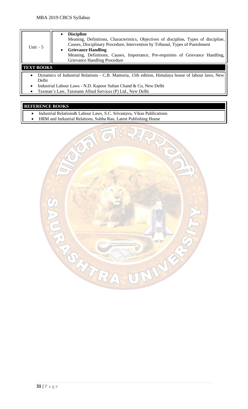| Unit $-5$         | <b>Discipline</b><br>Meaning, Definitions, Characteristics, Objectives of discipline, Types of discipline,<br>Causes, Disciplinary Procedure, Intervention by Tribunal, Types of Punishment<br><b>Grievance Handling</b><br>Meaning, Definitions, Causes, Importance, Pre-requisites of Grievance Handling,<br>Grievance Handling Procedure |
|-------------------|---------------------------------------------------------------------------------------------------------------------------------------------------------------------------------------------------------------------------------------------------------------------------------------------------------------------------------------------|
| <b>TEXT BOOKS</b> |                                                                                                                                                                                                                                                                                                                                             |

- Dynamics of Industrial Relations C.B. Mamoria, 15th edition, Himalaya house of labour laws, New Delhi
- Industrial Labour Laws N.D. Kapoor Sultan Chand & Co, New Delhi
- Taxman's Law, Taxmann Allied Services (P) Ltd., New Delhi

- Industrial Relations& Labour Laws, S.C. Srivastava, Vikas Publications
- HRM and Industrial Relations, Subba Rao, Latest Publishing House

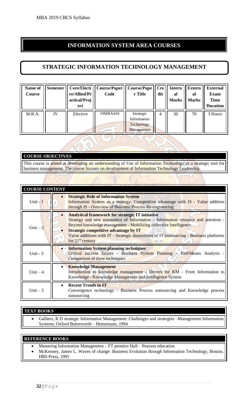#### **INFORMATION SYSTEM AREA COURSES**

#### **STRATEGIC INFORMATION TECHNOLOGY MANAGEMENT**

| Name of<br>Course | <b>Semester</b> | ve/Allied/Pr<br>actical/Proj<br>ect | Core/Electi    Course/Paper   <br>Code | <b>Course/Pape</b><br>r Title                        | Cre<br>dit | <b>Intern</b><br>al<br><b>Marks</b> | <b>Extern</b><br>al<br><b>Marks</b> | <b>External</b><br>Exam<br><b>Time</b><br><b>Duration</b> |
|-------------------|-----------------|-------------------------------------|----------------------------------------|------------------------------------------------------|------------|-------------------------------------|-------------------------------------|-----------------------------------------------------------|
| M.B.A.            | IV              | Elective                            | 19MBA410                               | Strategic<br>Information<br>Technology<br>Management | 4          | 30                                  | 70                                  | 3 Hours                                                   |

#### **COURSE OBJECTIVES**

This course is aimed at developing an understanding of Use of Information Technology as a strategic tool for business management. The course focuses on development of Information Technology Leadership.

| <b>COURSE CONTENT</b> |                                                                                                                                                                                                                                                                                                                                                                                |  |  |  |
|-----------------------|--------------------------------------------------------------------------------------------------------------------------------------------------------------------------------------------------------------------------------------------------------------------------------------------------------------------------------------------------------------------------------|--|--|--|
| Unit $-1$             | <b>Strategic Role of Information System</b><br>Information System as a strategy- Competitive advantage with IS - Value addition<br>through IS - Overview of Business Process Re-engineering                                                                                                                                                                                    |  |  |  |
| Unit $-2$             | <b>Analytical framework for strategic IT initiative</b><br>Strategy and new economics of Information - Information resource and attention -<br>Beyond knowledge management - Mobilizing collective Intelligence<br><b>Strategic competitive advantage by IT</b><br>Value additions with IT - Strategic dimensions of IT outsourcing - Business platforms<br>for $21st$ century |  |  |  |
| Unit - $3$            | <b>Information System planning techniques</b><br>Critical success factors - Business System Planning - End/Means Analysis -<br>Comparison of three techniques                                                                                                                                                                                                                  |  |  |  |
| Unit $-4$             | <b>Knowledge Management</b><br>Introduction to knowledge management - Drivers for KM - From Information to<br>Knowledge - Knowledge Management and Intelligence System                                                                                                                                                                                                         |  |  |  |
| Unit $-5$             | <b>Recent Trends in IT</b><br>Convergence technology - Business Process outsourcing and Knowledge process<br>outsourcing                                                                                                                                                                                                                                                       |  |  |  |

#### **TEXT BOOKS**

• Galliers, R D strategic Information Management: Challenges and strategies –Management Information Systems, Oxford Butterworth – Hememann, 1994

- Mastering Information Management FT prentice Hall Pearson education
- McKenney, James L. Waves of change: Business Evolution through Information Technology, Boston, HBS Press, 1995